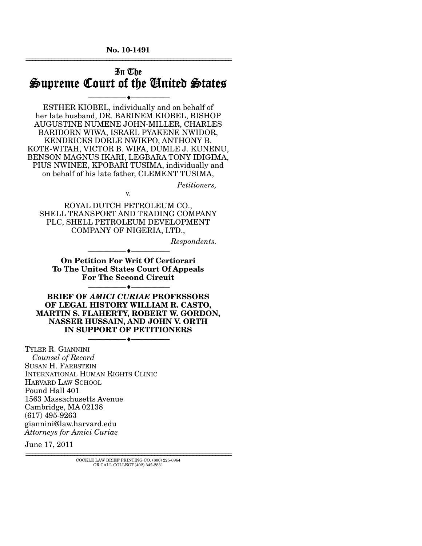**No. 10-1491**  ================================================================

## In The Supreme Court of the United States

--------------------------------- ♦ ---------------------------------

ESTHER KIOBEL, individually and on behalf of her late husband, DR. BARINEM KIOBEL, BISHOP AUGUSTINE NUMENE JOHN-MILLER, CHARLES BARIDORN WIWA, ISRAEL PYAKENE NWIDOR, KENDRICKS DORLE NWIKPO, ANTHONY B. KOTE-WITAH, VICTOR B. WIFA, DUMLE J. KUNENU, BENSON MAGNUS IKARI, LEGBARA TONY IDIGIMA, PIUS NWINEE, KPOBARI TUSIMA, individually and on behalf of his late father, CLEMENT TUSIMA,

*Petitioners,* 

ROYAL DUTCH PETROLEUM CO., SHELL TRANSPORT AND TRADING COMPANY PLC, SHELL PETROLEUM DEVELOPMENT COMPANY OF NIGERIA, LTD.,

v.

*Respondents.* 

**On Petition For Writ Of Certiorari To The United States Court Of Appeals For The Second Circuit** 

--------------------------------- ♦ ---------------------------------

--------------------------------- ♦ ---------------------------------

**BRIEF OF** *AMICI CURIAE* **PROFESSORS OF LEGAL HISTORY WILLIAM R. CASTO, MARTIN S. FLAHERTY, ROBERT W. GORDON, NASSER HUSSAIN, AND JOHN V. ORTH IN SUPPORT OF PETITIONERS**  --------------------------------- ♦ ---------------------------------

TYLER R. GIANNINI *Counsel of Record* SUSAN H. FARBSTEIN INTERNATIONAL HUMAN RIGHTS CLINIC HARVARD LAW SCHOOL Pound Hall 401 1563 Massachusetts Avenue Cambridge, MA 02138 (617) 495-9263 giannini@law.harvard.edu *Attorneys for Amici Curiae*

June 17, 2011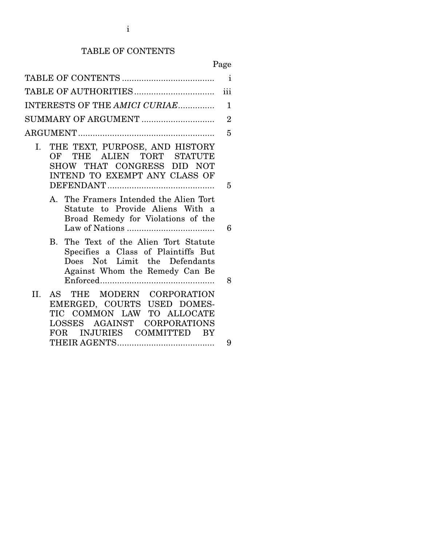# TABLE OF CONTENTS

Page

|                                                                                                                                                                               | $\mathbf{i}$   |
|-------------------------------------------------------------------------------------------------------------------------------------------------------------------------------|----------------|
|                                                                                                                                                                               | iii            |
| INTERESTS OF THE AMICI CURIAE                                                                                                                                                 | 1              |
| SUMMARY OF ARGUMENT                                                                                                                                                           | $\overline{2}$ |
|                                                                                                                                                                               | 5              |
| I. THE TEXT, PURPOSE, AND HISTORY<br>OF THE ALIEN TORT STATUTE<br>SHOW THAT CONGRESS DID NOT<br>INTEND TO EXEMPT ANY CLASS OF                                                 | 5              |
| A. The Framers Intended the Alien Tort<br>Statute to Provide Aliens With a<br>Broad Remedy for Violations of the                                                              | 6              |
| B. The Text of the Alien Tort Statute<br>Specifies a Class of Plaintiffs But<br>Does Not Limit the Defendants<br>Against Whom the Remedy Can Be                               | 8              |
| II.<br>AS THE MODERN CORPORATION<br>EMERGED, COURTS USED DOMES-<br>TIC COMMON LAW TO ALLOCATE<br>LOSSES AGAINST CORPORATIONS<br>INJURIES COMMITTED<br><b>FOR</b><br><b>BY</b> |                |
|                                                                                                                                                                               | 9              |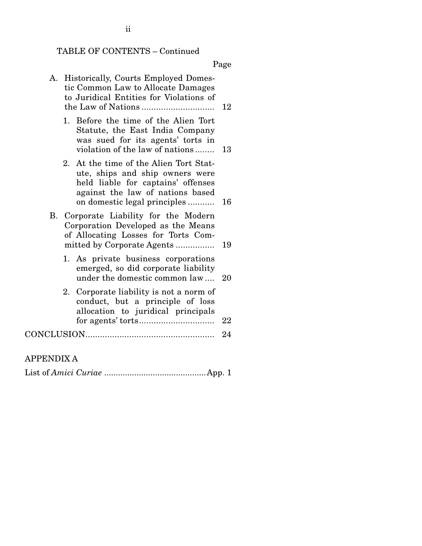# TABLE OF CONTENTS – Continued

Page

| А. | Historically, Courts Employed Domes-<br>tic Common Law to Allocate Damages<br>to Juridical Entities for Violations of                                                               | 12 |
|----|-------------------------------------------------------------------------------------------------------------------------------------------------------------------------------------|----|
|    | 1. Before the time of the Alien Tort<br>Statute, the East India Company<br>was sued for its agents' torts in<br>violation of the law of nations                                     | 13 |
|    | 2. At the time of the Alien Tort Stat-<br>ute, ships and ship owners were<br>held liable for captains' offenses<br>against the law of nations based<br>on domestic legal principles | 16 |
|    | B. Corporate Liability for the Modern<br>Corporation Developed as the Means<br>of Allocating Losses for Torts Com-<br>mitted by Corporate Agents                                    | 19 |
|    | 1. As private business corporations<br>emerged, so did corporate liability<br>under the domestic common law                                                                         | 20 |
|    | 2. Corporate liability is not a norm of<br>conduct, but a principle of loss<br>allocation to juridical principals                                                                   | 22 |
|    |                                                                                                                                                                                     | 24 |
|    |                                                                                                                                                                                     |    |

## APPENDIX A

|--|--|--|--|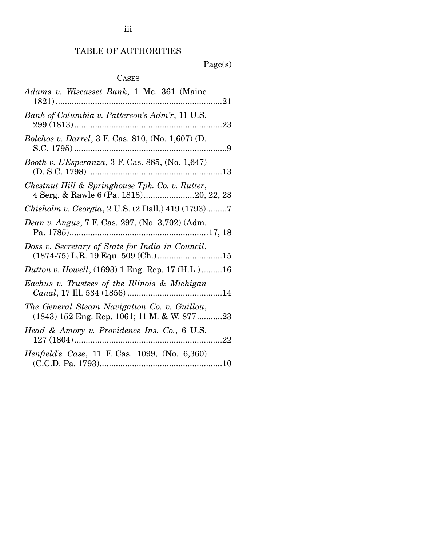# TABLE OF AUTHORITIES

Page(s)

# CASES

| Adams v. Wiscasset Bank, 1 Me. 361 (Maine                                                      |
|------------------------------------------------------------------------------------------------|
| Bank of Columbia v. Patterson's Adm'r, 11 U.S.                                                 |
| <i>Bolchos v. Darrel</i> , 3 F. Cas. 810, (No. 1,607) (D.                                      |
| Booth v. L'Esperanza, 3 F. Cas. 885, (No. 1,647)                                               |
| Chestnut Hill & Springhouse Tpk. Co. v. Rutter,<br>4 Serg. & Rawle 6 (Pa. 1818)20, 22, 23      |
| Chisholm v. Georgia, 2 U.S. (2 Dall.) 419 (1793)7                                              |
| <i>Dean v. Angus, 7 F. Cas. 297, (No. 3,702) (Adm.</i>                                         |
|                                                                                                |
| Doss v. Secretary of State for India in Council,                                               |
| <i>Dutton v. Howell</i> , (1693) 1 Eng. Rep. 17 (H.L.)16                                       |
| Eachus v. Trustees of the Illinois & Michigan                                                  |
| The General Steam Navigation Co. v. Guillou,<br>$(1843)$ 152 Eng. Rep. 1061; 11 M. & W. 877 23 |
| Head & Amory v. Providence Ins. Co., 6 U.S.                                                    |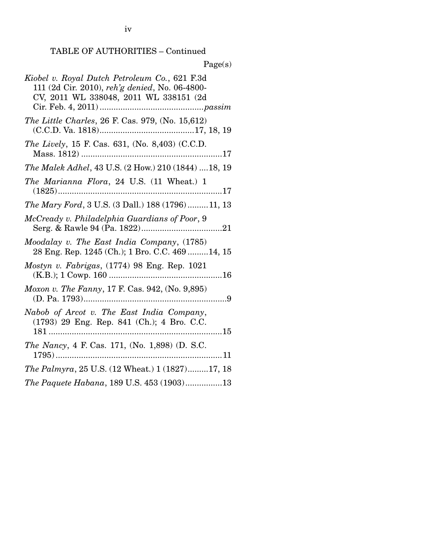| Page(s)                                                                                                                                   |
|-------------------------------------------------------------------------------------------------------------------------------------------|
| Kiobel v. Royal Dutch Petroleum Co., 621 F.3d<br>111 (2d Cir. 2010), reh'g denied, No. 06-4800-<br>CV, 2011 WL 338048, 2011 WL 338151 (2d |
| The Little Charles, 26 F. Cas. 979, (No. 15,612)                                                                                          |
| The Lively, 15 F. Cas. 631, (No. 8,403) (C.C.D.                                                                                           |
| The Malek Adhel, 43 U.S. (2 How.) 210 (1844) 18, 19                                                                                       |
| The Marianna Flora, 24 U.S. (11 Wheat.) 1                                                                                                 |
| The Mary Ford, 3 U.S. (3 Dall.) 188 (1796) 11, 13                                                                                         |
| McCready v. Philadelphia Guardians of Poor, 9                                                                                             |
| Moodalay v. The East India Company, (1785)<br>28 Eng. Rep. 1245 (Ch.); 1 Bro. C.C. 469  14, 15                                            |
| Mostyn v. Fabrigas, $(1774)$ 98 Eng. Rep. 1021                                                                                            |
| <i>Moxon v. The Fanny</i> , 17 F. Cas. 942, (No. 9,895)                                                                                   |
| Nabob of Arcot v. The East India Company,<br>(1793) 29 Eng. Rep. 841 (Ch.); 4 Bro. C.C.                                                   |
| The Nancy, 4 F. Cas. 171, (No. 1,898) (D. S.C.                                                                                            |
| <i>The Palmyra</i> , 25 U.S. (12 Wheat.) 1 (1827)17, 18                                                                                   |
| The Paquete Habana, 189 U.S. 453 (1903)13                                                                                                 |

iv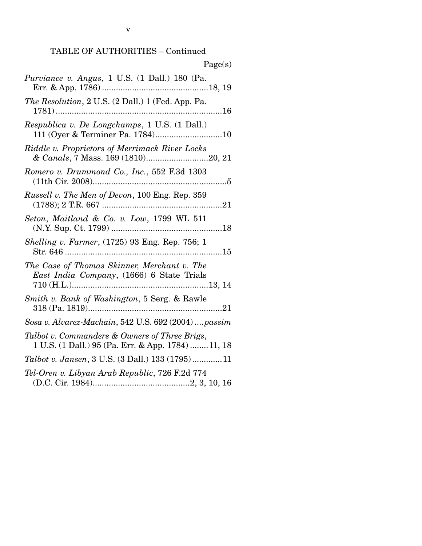| Page(s)                                                                                            |
|----------------------------------------------------------------------------------------------------|
| Purviance v. Angus, 1 U.S. (1 Dall.) 180 (Pa.                                                      |
| The Resolution, 2 U.S. (2 Dall.) 1 (Fed. App. Pa.                                                  |
| Respublica v. De Longchamps, 1 U.S. (1 Dall.)                                                      |
| Riddle v. Proprietors of Merrimack River Locks<br>& Canals, 7 Mass. 169 (1810)20, 21               |
| Romero v. Drummond Co., Inc., 552 F.3d 1303                                                        |
| Russell v. The Men of Devon, 100 Eng. Rep. 359                                                     |
| Seton, Maitland & Co. v. Low, 1799 WL 511                                                          |
| Shelling v. Farmer, (1725) 93 Eng. Rep. 756; 1                                                     |
| The Case of Thomas Skinner, Merchant v. The<br>East India Company, (1666) 6 State Trials           |
| Smith v. Bank of Washington, 5 Serg. & Rawle                                                       |
| Sosa v. Alvarez-Machain, 542 U.S. 692 (2004)  passim                                               |
| Talbot v. Commanders & Owners of Three Brigs,<br>1 U.S. (1 Dall.) 95 (Pa. Err. & App. 1784) 11, 18 |
| Talbot v. Jansen, 3 U.S. (3 Dall.) 133 (1795)11                                                    |
| Tel-Oren v. Libyan Arab Republic, 726 F.2d 774                                                     |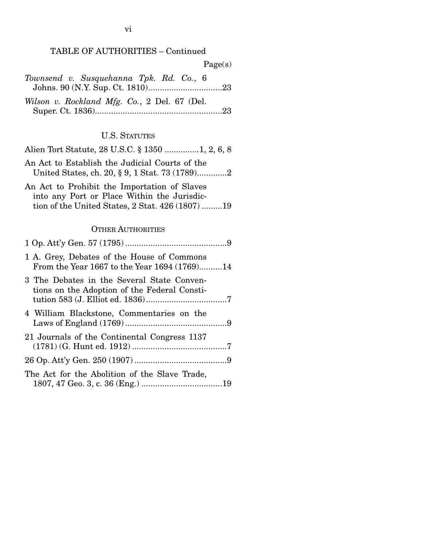| Page(s)                                                                                                                                         |
|-------------------------------------------------------------------------------------------------------------------------------------------------|
| Townsend v. Susquehanna Tpk. Rd. Co., 6                                                                                                         |
| Wilson v. Rockland Mfg. Co., 2 Del. 67 (Del.                                                                                                    |
| <b>U.S. STATUTES</b>                                                                                                                            |
| Alien Tort Statute, 28 U.S.C. § 1350 1, 2, 6, 8                                                                                                 |
| An Act to Establish the Judicial Courts of the<br>United States, ch. 20, § 9, 1 Stat. 73 (1789)2                                                |
| An Act to Prohibit the Importation of Slaves<br>into any Port or Place Within the Jurisdic-<br>tion of the United States, 2 Stat. 426 (1807) 19 |
| <b>OTHER AUTHORITIES</b>                                                                                                                        |
|                                                                                                                                                 |
|                                                                                                                                                 |
| 1 A. Grey, Debates of the House of Commons<br>From the Year 1667 to the Year 1694 (1769)14                                                      |
| 3 The Debates in the Several State Conven-<br>tions on the Adoption of the Federal Consti-                                                      |
| 4 William Blackstone, Commentaries on the                                                                                                       |
| 21 Journals of the Continental Congress 1137                                                                                                    |
|                                                                                                                                                 |

|  |  |  | The Act for the Abolition of the Slave Trade, |  |
|--|--|--|-----------------------------------------------|--|
|  |  |  |                                               |  |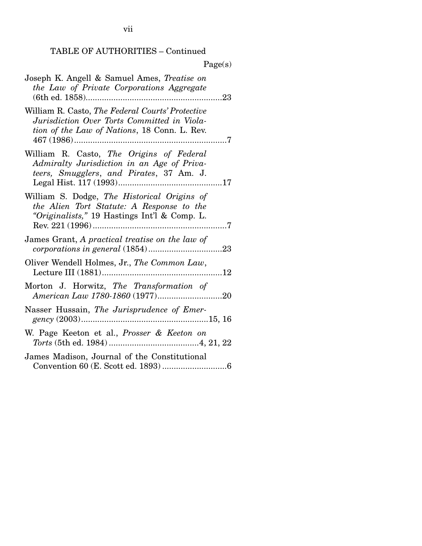|                                                                                                                                                                    | Page(s)    |
|--------------------------------------------------------------------------------------------------------------------------------------------------------------------|------------|
| Joseph K. Angell & Samuel Ames, Treatise on<br>the Law of Private Corporations Aggregate                                                                           |            |
| William R. Casto, The Federal Courts' Protective<br>Jurisdiction Over Torts Committed in Viola-<br>tion of the Law of Nations, 18 Conn. L. Rev.<br>$467(1986)$     |            |
| William R. Casto, The Origins of Federal<br>Admiralty Jurisdiction in an Age of Priva-<br>teers, Smugglers, and Pirates, 37 Am. J.<br>Legal Hist. 117 (1993)<br>17 |            |
| William S. Dodge, The Historical Origins of<br>the Alien Tort Statute: A Response to the<br>"Originalists," 19 Hastings Int'l & Comp. L.                           |            |
| James Grant, A practical treatise on the law of<br>corporations in general (1854)                                                                                  | 23         |
| Oliver Wendell Holmes, Jr., The Common Law,                                                                                                                        | $\dots 12$ |
| Morton J. Horwitz, The Transformation of                                                                                                                           |            |
| Nasser Hussain, The Jurisprudence of Emer-                                                                                                                         |            |
| W. Page Keeton et al., Prosser & Keeton on                                                                                                                         |            |
| James Madison, Journal of the Constitutional                                                                                                                       |            |

## $\mathbf{D}_{\mathbf{z}}$  as  $(x)$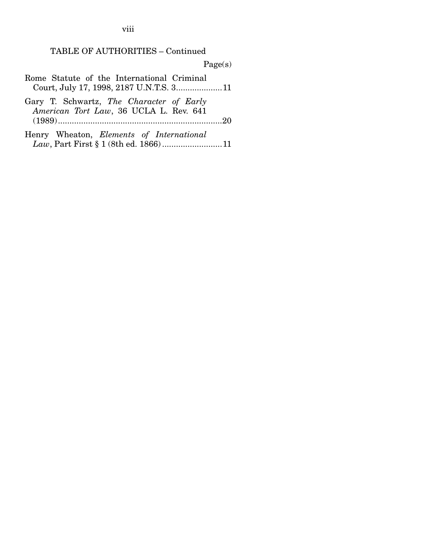viii

#### TABLE OF AUTHORITIES – Continued

Page(s)

Rome Statute of the International Criminal Court, July 17, 1998, 2187 U.N.T.S. 3 .................... 11

Gary T. Schwartz, *The Character of Early American Tort Law*, 36 UCLA L. Rev. 641 (1989) ....................................................................... 20

Henry Wheaton, *Elements of International Law*, Part First § 1 (8th ed. 1866) .......................... 11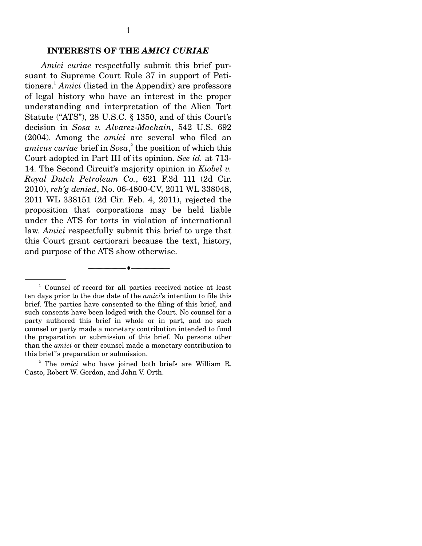#### **INTERESTS OF THE** *AMICI CURIAE*

*Amici curiae* respectfully submit this brief pursuant to Supreme Court Rule 37 in support of Petitioners.1 *Amici* (listed in the Appendix) are professors of legal history who have an interest in the proper understanding and interpretation of the Alien Tort Statute ("ATS"), 28 U.S.C. § 1350, and of this Court's decision in *Sosa v. Alvarez-Machain*, 542 U.S. 692 (2004). Among the *amici* are several who filed an *amicus curiae* brief in *Sosa*, 2 the position of which this Court adopted in Part III of its opinion. *See id.* at 713- 14. The Second Circuit's majority opinion in *Kiobel v. Royal Dutch Petroleum Co.*, 621 F.3d 111 (2d Cir. 2010), *reh'g denied*, No. 06-4800-CV, 2011 WL 338048, 2011 WL 338151 (2d Cir. Feb. 4, 2011), rejected the proposition that corporations may be held liable under the ATS for torts in violation of international law. *Amici* respectfully submit this brief to urge that this Court grant certiorari because the text, history, and purpose of the ATS show otherwise.

--------------------------------- ♦ ---------------------------------

<sup>&</sup>lt;sup>1</sup> Counsel of record for all parties received notice at least ten days prior to the due date of the *amici*'s intention to file this brief. The parties have consented to the filing of this brief, and such consents have been lodged with the Court. No counsel for a party authored this brief in whole or in part, and no such counsel or party made a monetary contribution intended to fund the preparation or submission of this brief. No persons other than the *amici* or their counsel made a monetary contribution to this brief 's preparation or submission.

<sup>2</sup> The *amici* who have joined both briefs are William R. Casto, Robert W. Gordon, and John V. Orth.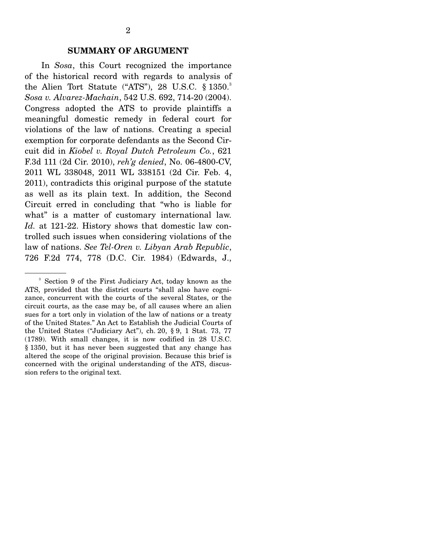In *Sosa*, this Court recognized the importance of the historical record with regards to analysis of the Alien Tort Statute ("ATS"), 28 U.S.C.  $\S 1350$ . *Sosa v. Alvarez-Machain*, 542 U.S. 692, 714-20 (2004). Congress adopted the ATS to provide plaintiffs a meaningful domestic remedy in federal court for violations of the law of nations. Creating a special exemption for corporate defendants as the Second Circuit did in *Kiobel v. Royal Dutch Petroleum Co.*, 621 F.3d 111 (2d Cir. 2010), *reh'g denied*, No. 06-4800-CV, 2011 WL 338048, 2011 WL 338151 (2d Cir. Feb. 4, 2011), contradicts this original purpose of the statute as well as its plain text. In addition, the Second Circuit erred in concluding that "who is liable for what" is a matter of customary international law. *Id.* at 121-22. History shows that domestic law controlled such issues when considering violations of the law of nations. *See Tel-Oren v. Libyan Arab Republic*, 726 F.2d 774, 778 (D.C. Cir. 1984) (Edwards, J.,

<sup>3</sup> Section 9 of the First Judiciary Act, today known as the ATS, provided that the district courts "shall also have cognizance, concurrent with the courts of the several States, or the circuit courts, as the case may be, of all causes where an alien sues for a tort only in violation of the law of nations or a treaty of the United States." An Act to Establish the Judicial Courts of the United States ("Judiciary Act"), ch. 20, § 9, 1 Stat. 73, 77 (1789). With small changes, it is now codified in 28 U.S.C. § 1350, but it has never been suggested that any change has altered the scope of the original provision. Because this brief is concerned with the original understanding of the ATS, discussion refers to the original text.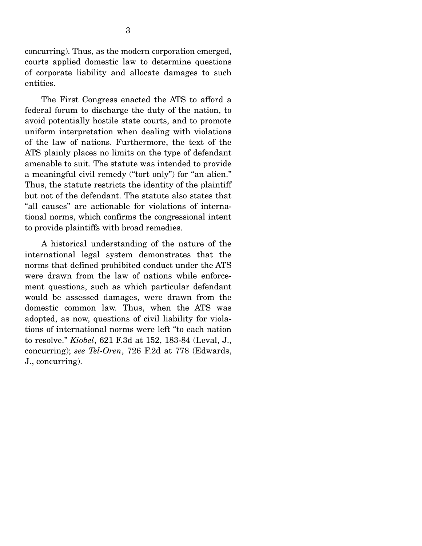concurring). Thus, as the modern corporation emerged, courts applied domestic law to determine questions of corporate liability and allocate damages to such entities.

 The First Congress enacted the ATS to afford a federal forum to discharge the duty of the nation, to avoid potentially hostile state courts, and to promote uniform interpretation when dealing with violations of the law of nations. Furthermore, the text of the ATS plainly places no limits on the type of defendant amenable to suit. The statute was intended to provide a meaningful civil remedy ("tort only") for "an alien." Thus, the statute restricts the identity of the plaintiff but not of the defendant. The statute also states that "all causes" are actionable for violations of international norms, which confirms the congressional intent to provide plaintiffs with broad remedies.

 A historical understanding of the nature of the international legal system demonstrates that the norms that defined prohibited conduct under the ATS were drawn from the law of nations while enforcement questions, such as which particular defendant would be assessed damages, were drawn from the domestic common law. Thus, when the ATS was adopted, as now, questions of civil liability for violations of international norms were left "to each nation to resolve." *Kiobel*, 621 F.3d at 152, 183-84 (Leval, J., concurring); *see Tel-Oren*, 726 F.2d at 778 (Edwards, J., concurring).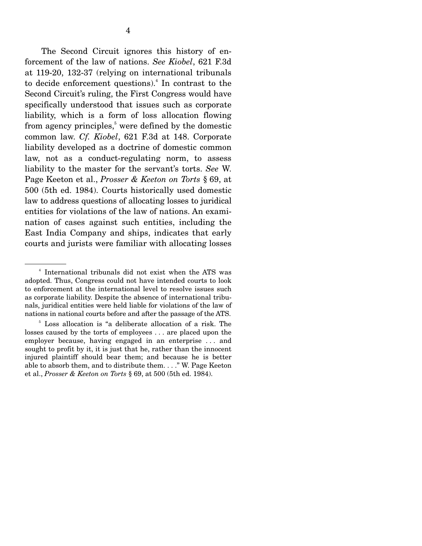The Second Circuit ignores this history of enforcement of the law of nations. *See Kiobel*, 621 F.3d at 119-20, 132-37 (relying on international tribunals to decide enforcement questions).<sup>4</sup> In contrast to the Second Circuit's ruling, the First Congress would have specifically understood that issues such as corporate liability, which is a form of loss allocation flowing from agency principles, $5$  were defined by the domestic common law. *Cf. Kiobel*, 621 F.3d at 148. Corporate liability developed as a doctrine of domestic common law, not as a conduct-regulating norm, to assess liability to the master for the servant's torts. *See* W. Page Keeton et al., *Prosser & Keeton on Torts* § 69, at 500 (5th ed. 1984). Courts historically used domestic law to address questions of allocating losses to juridical entities for violations of the law of nations. An examination of cases against such entities, including the East India Company and ships, indicates that early courts and jurists were familiar with allocating losses

<sup>4</sup> International tribunals did not exist when the ATS was adopted. Thus, Congress could not have intended courts to look to enforcement at the international level to resolve issues such as corporate liability. Despite the absence of international tribunals, juridical entities were held liable for violations of the law of nations in national courts before and after the passage of the ATS.

<sup>5</sup> Loss allocation is "a deliberate allocation of a risk. The losses caused by the torts of employees . . . are placed upon the employer because, having engaged in an enterprise . . . and sought to profit by it, it is just that he, rather than the innocent injured plaintiff should bear them; and because he is better able to absorb them, and to distribute them. . . ." W. Page Keeton et al., *Prosser & Keeton on Torts* § 69, at 500 (5th ed. 1984).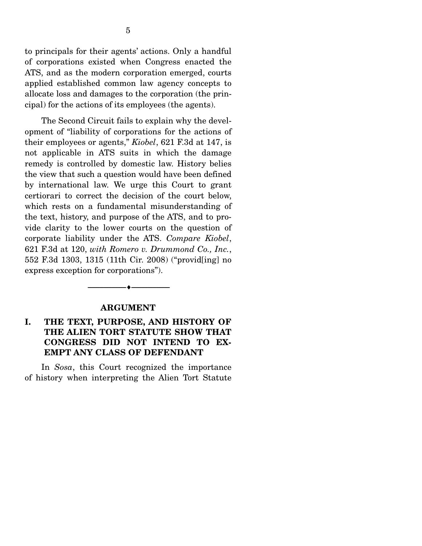to principals for their agents' actions. Only a handful of corporations existed when Congress enacted the ATS, and as the modern corporation emerged, courts applied established common law agency concepts to allocate loss and damages to the corporation (the principal) for the actions of its employees (the agents).

 The Second Circuit fails to explain why the development of "liability of corporations for the actions of their employees or agents," *Kiobel*, 621 F.3d at 147, is not applicable in ATS suits in which the damage remedy is controlled by domestic law. History belies the view that such a question would have been defined by international law. We urge this Court to grant certiorari to correct the decision of the court below, which rests on a fundamental misunderstanding of the text, history, and purpose of the ATS, and to provide clarity to the lower courts on the question of corporate liability under the ATS. *Compare Kiobel*, 621 F.3d at 120, *with Romero v. Drummond Co., Inc.*, 552 F.3d 1303, 1315 (11th Cir. 2008) ("provid[ing] no express exception for corporations").

#### **ARGUMENT**

--------------------------------- ♦ ---------------------------------

### **I. THE TEXT, PURPOSE, AND HISTORY OF THE ALIEN TORT STATUTE SHOW THAT CONGRESS DID NOT INTEND TO EX-EMPT ANY CLASS OF DEFENDANT**

 In *Sosa*, this Court recognized the importance of history when interpreting the Alien Tort Statute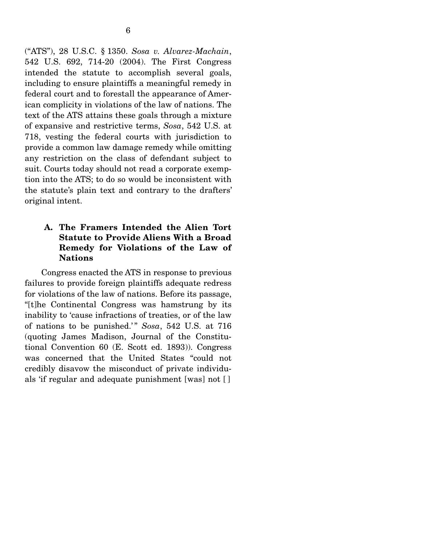("ATS"), 28 U.S.C. § 1350. *Sosa v. Alvarez-Machain*, 542 U.S. 692, 714-20 (2004). The First Congress intended the statute to accomplish several goals, including to ensure plaintiffs a meaningful remedy in federal court and to forestall the appearance of American complicity in violations of the law of nations. The text of the ATS attains these goals through a mixture of expansive and restrictive terms, *Sosa*, 542 U.S. at 718, vesting the federal courts with jurisdiction to provide a common law damage remedy while omitting any restriction on the class of defendant subject to suit. Courts today should not read a corporate exemption into the ATS; to do so would be inconsistent with the statute's plain text and contrary to the drafters' original intent.

### **A. The Framers Intended the Alien Tort Statute to Provide Aliens With a Broad Remedy for Violations of the Law of Nations**

 Congress enacted the ATS in response to previous failures to provide foreign plaintiffs adequate redress for violations of the law of nations. Before its passage, "[t]he Continental Congress was hamstrung by its inability to 'cause infractions of treaties, or of the law of nations to be punished.'" *Sosa*, 542 U.S. at 716 (quoting James Madison, Journal of the Constitutional Convention 60 (E. Scott ed. 1893)). Congress was concerned that the United States "could not credibly disavow the misconduct of private individuals 'if regular and adequate punishment [was] not [ ]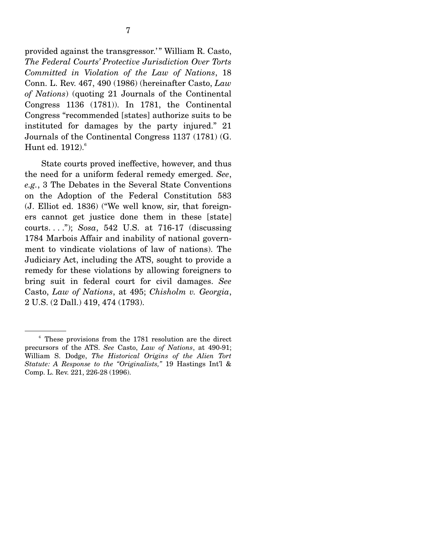provided against the transgressor.'" William R. Casto, *The Federal Courts' Protective Jurisdiction Over Torts Committed in Violation of the Law of Nations*, 18 Conn. L. Rev. 467, 490 (1986) (hereinafter Casto, *Law of Nations*) (quoting 21 Journals of the Continental Congress 1136 (1781)). In 1781, the Continental Congress "recommended [states] authorize suits to be instituted for damages by the party injured." 21 Journals of the Continental Congress 1137 (1781) (G. Hunt ed.  $1912$ ).<sup>6</sup>

 State courts proved ineffective, however, and thus the need for a uniform federal remedy emerged. *See*, *e.g.*, 3 The Debates in the Several State Conventions on the Adoption of the Federal Constitution 583 (J. Elliot ed. 1836) ("We well know, sir, that foreigners cannot get justice done them in these [state] courts. . . ."); *Sosa*, 542 U.S. at 716-17 (discussing 1784 Marbois Affair and inability of national government to vindicate violations of law of nations). The Judiciary Act, including the ATS, sought to provide a remedy for these violations by allowing foreigners to bring suit in federal court for civil damages. *See*  Casto, *Law of Nations*, at 495; *Chisholm v. Georgia*, 2 U.S. (2 Dall.) 419, 474 (1793).

<sup>6</sup> These provisions from the 1781 resolution are the direct precursors of the ATS. *See* Casto, *Law of Nations*, at 490-91; William S. Dodge, *The Historical Origins of the Alien Tort Statute: A Response to the "Originalists,"* 19 Hastings Int'l & Comp. L. Rev. 221, 226-28 (1996).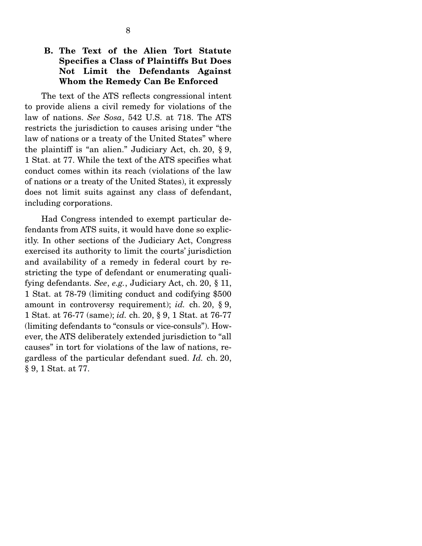### **B. The Text of the Alien Tort Statute Specifies a Class of Plaintiffs But Does Not Limit the Defendants Against Whom the Remedy Can Be Enforced**

 The text of the ATS reflects congressional intent to provide aliens a civil remedy for violations of the law of nations. *See Sosa*, 542 U.S. at 718. The ATS restricts the jurisdiction to causes arising under "the law of nations or a treaty of the United States" where the plaintiff is "an alien." Judiciary Act, ch. 20, § 9, 1 Stat. at 77. While the text of the ATS specifies what conduct comes within its reach (violations of the law of nations or a treaty of the United States), it expressly does not limit suits against any class of defendant, including corporations.

 Had Congress intended to exempt particular defendants from ATS suits, it would have done so explicitly. In other sections of the Judiciary Act, Congress exercised its authority to limit the courts' jurisdiction and availability of a remedy in federal court by restricting the type of defendant or enumerating qualifying defendants. *See*, *e.g.*, Judiciary Act, ch. 20, § 11, 1 Stat. at 78-79 (limiting conduct and codifying \$500 amount in controversy requirement); *id.* ch. 20, § 9, 1 Stat. at 76-77 (same); *id.* ch. 20, § 9, 1 Stat. at 76-77 (limiting defendants to "consuls or vice-consuls"). However, the ATS deliberately extended jurisdiction to "all causes" in tort for violations of the law of nations, regardless of the particular defendant sued. *Id.* ch. 20, § 9, 1 Stat. at 77.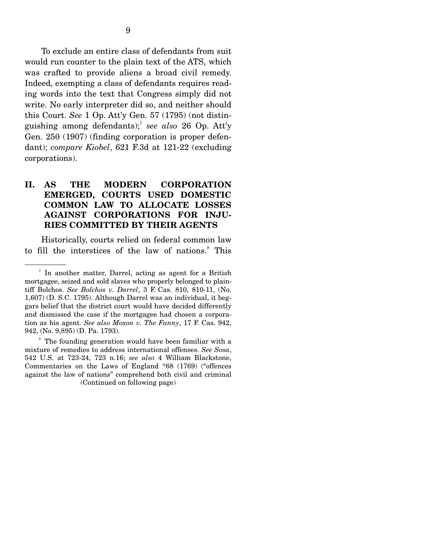To exclude an entire class of defendants from suit would run counter to the plain text of the ATS, which was crafted to provide aliens a broad civil remedy. Indeed, exempting a class of defendants requires reading words into the text that Congress simply did not write. No early interpreter did so, and neither should this Court. *See* 1 Op. Att'y Gen. 57 (1795) (not distinguishing among defendants);7 *see also* 26 Op. Att'y Gen. 250 (1907) (finding corporation is proper defendant); *compare Kiobel*, 621 F.3d at 121-22 (excluding corporations).

### **II. AS THE MODERN CORPORATION EMERGED, COURTS USED DOMESTIC COMMON LAW TO ALLOCATE LOSSES AGAINST CORPORATIONS FOR INJU-RIES COMMITTED BY THEIR AGENTS**

 Historically, courts relied on federal common law to fill the interstices of the law of nations.<sup>8</sup> This

<sup>8</sup> The founding generation would have been familiar with a mixture of remedies to address international offenses. *See Sosa*, 542 U.S. at 723-24, 723 n.16; *see also* 4 William Blackstone, Commentaries on the Laws of England \*68 (1769) ("offences against the law of nations" comprehend both civil and criminal (Continued on following page)

<sup>7</sup> In another matter, Darrel, acting as agent for a British mortgagee, seized and sold slaves who properly belonged to plaintiff Bolchos. *See Bolchos v. Darrel*, 3 F. Cas. 810, 810-11, (No. 1,607) (D. S.C. 1795). Although Darrel was an individual, it beggars belief that the district court would have decided differently and dismissed the case if the mortgagee had chosen a corporation as his agent. *See also Moxon v. The Fanny*, 17 F. Cas. 942, 942, (No. 9,895) (D. Pa. 1793).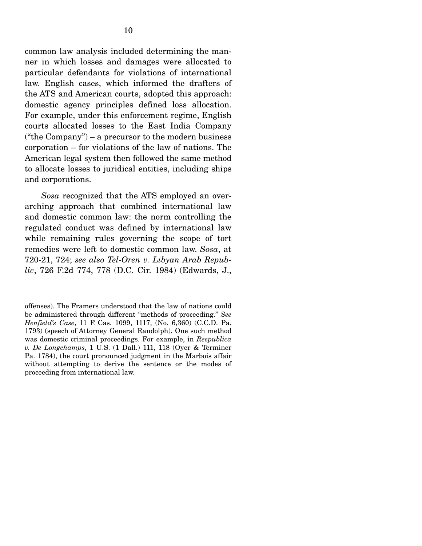common law analysis included determining the manner in which losses and damages were allocated to particular defendants for violations of international law. English cases, which informed the drafters of the ATS and American courts, adopted this approach: domestic agency principles defined loss allocation. For example, under this enforcement regime, English courts allocated losses to the East India Company ("the Company") – a precursor to the modern business corporation – for violations of the law of nations. The American legal system then followed the same method to allocate losses to juridical entities, including ships and corporations.

*Sosa* recognized that the ATS employed an overarching approach that combined international law and domestic common law: the norm controlling the regulated conduct was defined by international law while remaining rules governing the scope of tort remedies were left to domestic common law. *Sosa*, at 720-21, 724; *see also Tel-Oren v. Libyan Arab Republic*, 726 F.2d 774, 778 (D.C. Cir. 1984) (Edwards, J.,

offenses). The Framers understood that the law of nations could be administered through different "methods of proceeding." *See Henfield's Case*, 11 F. Cas. 1099, 1117, (No. 6,360) (C.C.D. Pa. 1793) (speech of Attorney General Randolph). One such method was domestic criminal proceedings. For example, in *Respublica v. De Longchamps*, 1 U.S. (1 Dall.) 111, 118 (Oyer & Terminer Pa. 1784), the court pronounced judgment in the Marbois affair without attempting to derive the sentence or the modes of proceeding from international law.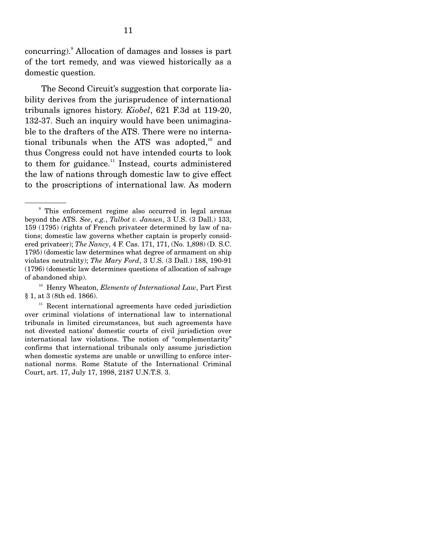concurring). Allocation of damages and losses is part of the tort remedy, and was viewed historically as a domestic question.

 The Second Circuit's suggestion that corporate liability derives from the jurisprudence of international tribunals ignores history. *Kiobel*, 621 F.3d at 119-20, 132-37. Such an inquiry would have been unimaginable to the drafters of the ATS. There were no international tribunals when the ATS was adopted, $10^{\circ}$  and thus Congress could not have intended courts to look to them for guidance. $11$  Instead, courts administered the law of nations through domestic law to give effect to the proscriptions of international law. As modern

<sup>9</sup> This enforcement regime also occurred in legal arenas beyond the ATS. *See*, *e.g.*, *Talbot v. Jansen*, 3 U.S. (3 Dall.) 133, 159 (1795) (rights of French privateer determined by law of nations; domestic law governs whether captain is properly considered privateer); *The Nancy*, 4 F. Cas. 171, 171, (No. 1,898) (D. S.C. 1795) (domestic law determines what degree of armament on ship violates neutrality); *The Mary Ford*, 3 U.S. (3 Dall.) 188, 190-91 (1796) (domestic law determines questions of allocation of salvage of abandoned ship).

<sup>10</sup> Henry Wheaton, *Elements of International Law*, Part First § 1, at 3 (8th ed. 1866).

 $11$  Recent international agreements have ceded jurisdiction over criminal violations of international law to international tribunals in limited circumstances, but such agreements have not divested nations' domestic courts of civil jurisdiction over international law violations. The notion of "complementarity" confirms that international tribunals only assume jurisdiction when domestic systems are unable or unwilling to enforce international norms. Rome Statute of the International Criminal Court, art. 17, July 17, 1998, 2187 U.N.T.S. 3.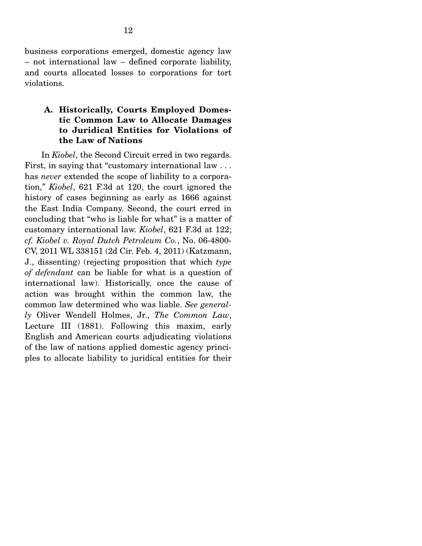business corporations emerged, domestic agency law – not international law – defined corporate liability, and courts allocated losses to corporations for tort violations.

#### **A. Historically, Courts Employed Domestic Common Law to Allocate Damages to Juridical Entities for Violations of the Law of Nations**

 In *Kiobel*, the Second Circuit erred in two regards. First, in saying that "customary international law . . . has *never* extended the scope of liability to a corporation," *Kiobel*, 621 F.3d at 120, the court ignored the history of cases beginning as early as 1666 against the East India Company. Second, the court erred in concluding that "who is liable for what" is a matter of customary international law. *Kiobel*, 621 F.3d at 122; *cf. Kiobel v. Royal Dutch Petroleum Co.*, No. 06-4800- CV, 2011 WL 338151 (2d Cir. Feb. 4, 2011) (Katzmann, J., dissenting) (rejecting proposition that which *type of defendant* can be liable for what is a question of international law). Historically, once the cause of action was brought within the common law, the common law determined who was liable. *See generally* Oliver Wendell Holmes, Jr., *The Common Law*, Lecture III (1881). Following this maxim, early English and American courts adjudicating violations of the law of nations applied domestic agency principles to allocate liability to juridical entities for their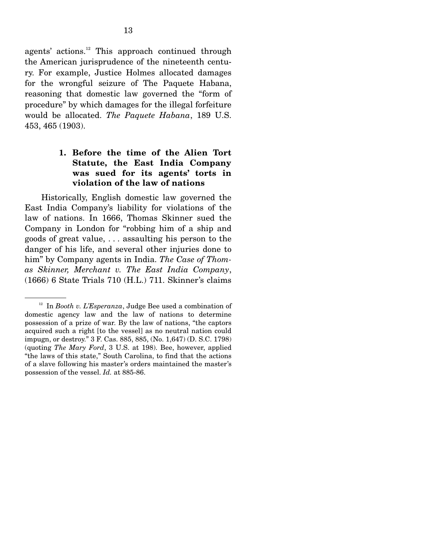agents' actions. $12$  This approach continued through the American jurisprudence of the nineteenth century. For example, Justice Holmes allocated damages for the wrongful seizure of The Paquete Habana, reasoning that domestic law governed the "form of procedure" by which damages for the illegal forfeiture would be allocated. *The Paquete Habana*, 189 U.S. 453, 465 (1903).

### **1. Before the time of the Alien Tort Statute, the East India Company was sued for its agents' torts in violation of the law of nations**

 Historically, English domestic law governed the East India Company's liability for violations of the law of nations. In 1666, Thomas Skinner sued the Company in London for "robbing him of a ship and goods of great value, . . . assaulting his person to the danger of his life, and several other injuries done to him" by Company agents in India. *The Case of Thomas Skinner, Merchant v. The East India Company*, (1666) 6 State Trials 710 (H.L.) 711. Skinner's claims

<sup>12</sup> In *Booth v. L'Esperanza*, Judge Bee used a combination of domestic agency law and the law of nations to determine possession of a prize of war. By the law of nations, "the captors acquired such a right [to the vessel] as no neutral nation could impugn, or destroy." 3 F. Cas. 885, 885, (No. 1,647) (D. S.C. 1798) (quoting *The Mary Ford*, 3 U.S. at 198). Bee, however, applied "the laws of this state," South Carolina, to find that the actions of a slave following his master's orders maintained the master's possession of the vessel. *Id.* at 885-86.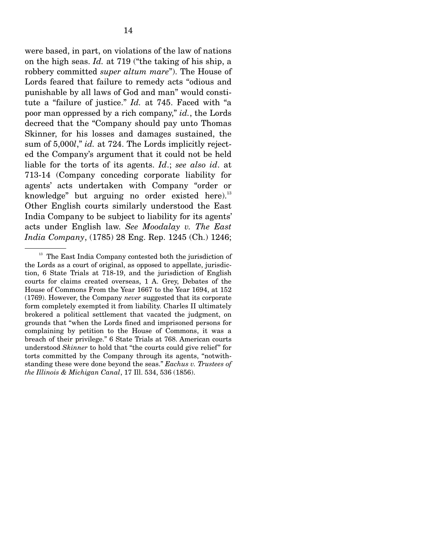were based, in part, on violations of the law of nations on the high seas. *Id.* at 719 ("the taking of his ship, a robbery committed *super altum mare*"). The House of Lords feared that failure to remedy acts "odious and punishable by all laws of God and man" would constitute a "failure of justice." *Id.* at 745. Faced with "a poor man oppressed by a rich company," *id.*, the Lords decreed that the "Company should pay unto Thomas Skinner, for his losses and damages sustained, the sum of 5,000*l*," *id.* at 724. The Lords implicitly rejected the Company's argument that it could not be held liable for the torts of its agents. *Id*.; *see also id*. at 713-14 (Company conceding corporate liability for agents' acts undertaken with Company "order or knowledge" but arguing no order existed here). $^{13}$ Other English courts similarly understood the East India Company to be subject to liability for its agents' acts under English law. *See Moodalay v. The East India Company*, (1785) 28 Eng. Rep. 1245 (Ch.) 1246;

<sup>&</sup>lt;sup>13</sup> The East India Company contested both the jurisdiction of the Lords as a court of original, as opposed to appellate, jurisdiction, 6 State Trials at 718-19, and the jurisdiction of English courts for claims created overseas, 1 A. Grey, Debates of the House of Commons From the Year 1667 to the Year 1694, at 152 (1769). However, the Company *never* suggested that its corporate form completely exempted it from liability. Charles II ultimately brokered a political settlement that vacated the judgment, on grounds that "when the Lords fined and imprisoned persons for complaining by petition to the House of Commons, it was a breach of their privilege." 6 State Trials at 768. American courts understood *Skinner* to hold that "the courts could give relief" for torts committed by the Company through its agents, "notwithstanding these were done beyond the seas." *Eachus v. Trustees of the Illinois & Michigan Canal*, 17 Ill. 534, 536 (1856).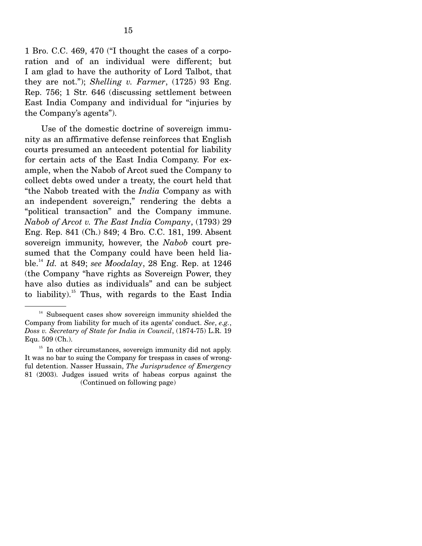1 Bro. C.C. 469, 470 ("I thought the cases of a corporation and of an individual were different; but I am glad to have the authority of Lord Talbot, that they are not."); *Shelling v. Farmer*, (1725) 93 Eng. Rep. 756; 1 Str. 646 (discussing settlement between East India Company and individual for "injuries by the Company's agents").

 Use of the domestic doctrine of sovereign immunity as an affirmative defense reinforces that English courts presumed an antecedent potential for liability for certain acts of the East India Company. For example, when the Nabob of Arcot sued the Company to collect debts owed under a treaty, the court held that "the Nabob treated with the *India* Company as with an independent sovereign," rendering the debts a "political transaction" and the Company immune. *Nabob of Arcot v. The East India Company*, (1793) 29 Eng. Rep. 841 (Ch.) 849; 4 Bro. C.C. 181, 199. Absent sovereign immunity, however, the *Nabob* court presumed that the Company could have been held liable.<sup>14</sup> *Id.* at 849; *see Moodalay*, 28 Eng. Rep. at 1246 (the Company "have rights as Sovereign Power, they have also duties as individuals" and can be subject to liability).<sup>15</sup> Thus, with regards to the East India

 $14$  Subsequent cases show sovereign immunity shielded the Company from liability for much of its agents' conduct. *See*, *e.g.*, *Doss v. Secretary of State for India in Council*, (1874-75) L.R. 19 Equ. 509 (Ch.).

<sup>&</sup>lt;sup>15</sup> In other circumstances, sovereign immunity did not apply. It was no bar to suing the Company for trespass in cases of wrongful detention. Nasser Hussain, *The Jurisprudence of Emergency* 81 (2003). Judges issued writs of habeas corpus against the (Continued on following page)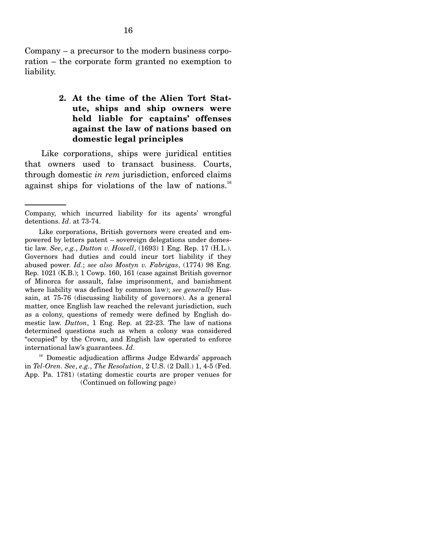Company – a precursor to the modern business corporation – the corporate form granted no exemption to liability.

### **2. At the time of the Alien Tort Statute, ships and ship owners were held liable for captains' offenses against the law of nations based on domestic legal principles**

 Like corporations, ships were juridical entities that owners used to transact business. Courts, through domestic *in rem* jurisdiction, enforced claims against ships for violations of the law of nations.<sup>16</sup>

Company, which incurred liability for its agents' wrongful detentions. *Id*. at 73-74.

Like corporations, British governors were created and empowered by letters patent – sovereign delegations under domestic law. *See*, *e.g.*, *Dutton v. Howell*, (1693) 1 Eng. Rep. 17 (H.L.). Governors had duties and could incur tort liability if they abused power. *Id*.; *see also Mostyn v. Fabrigas*, (1774) 98 Eng. Rep. 1021 (K.B.); 1 Cowp. 160, 161 (case against British governor of Minorca for assault, false imprisonment, and banishment where liability was defined by common law); *see generally* Hussain, at 75-76 (discussing liability of governors). As a general matter, once English law reached the relevant jurisdiction, such as a colony, questions of remedy were defined by English domestic law. *Dutton*, 1 Eng. Rep. at 22-23. The law of nations determined questions such as when a colony was considered "occupied" by the Crown, and English law operated to enforce international law's guarantees. *Id*.

<sup>&</sup>lt;sup>16</sup> Domestic adjudication affirms Judge Edwards' approach in *Tel-Oren*. *See*, *e.g.*, *The Resolution*, 2 U.S. (2 Dall.) 1, 4-5 (Fed. App. Pa. 1781) (stating domestic courts are proper venues for (Continued on following page)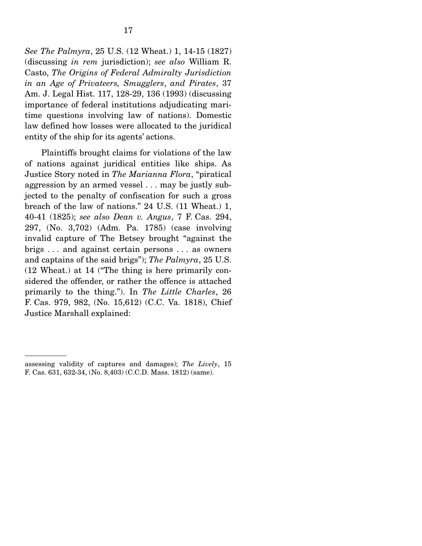*See The Palmyra*, 25 U.S. (12 Wheat.) 1, 14-15 (1827) (discussing *in rem* jurisdiction); *see also* William R. Casto, *The Origins of Federal Admiralty Jurisdiction in an Age of Privateers, Smugglers*, *and Pirates*, 37 Am. J. Legal Hist. 117, 128-29, 136 (1993) (discussing importance of federal institutions adjudicating maritime questions involving law of nations). Domestic law defined how losses were allocated to the juridical entity of the ship for its agents' actions.

 Plaintiffs brought claims for violations of the law of nations against juridical entities like ships. As Justice Story noted in *The Marianna Flora*, "piratical aggression by an armed vessel . . . may be justly subjected to the penalty of confiscation for such a gross breach of the law of nations." 24 U.S. (11 Wheat.) 1, 40-41 (1825); *see also Dean v. Angus*, 7 F. Cas. 294, 297, (No. 3,702) (Adm. Pa. 1785) (case involving invalid capture of The Betsey brought "against the brigs . . . and against certain persons . . . as owners and captains of the said brigs"); *The Palmyra*, 25 U.S. (12 Wheat.) at 14 ("The thing is here primarily considered the offender, or rather the offence is attached primarily to the thing."). In *The Little Charles*, 26 F. Cas. 979, 982, (No. 15,612) (C.C. Va. 1818), Chief Justice Marshall explained:

assessing validity of captures and damages); *The Lively*, 15 F. Cas. 631, 632-34, (No. 8,403) (C.C.D. Mass. 1812) (same).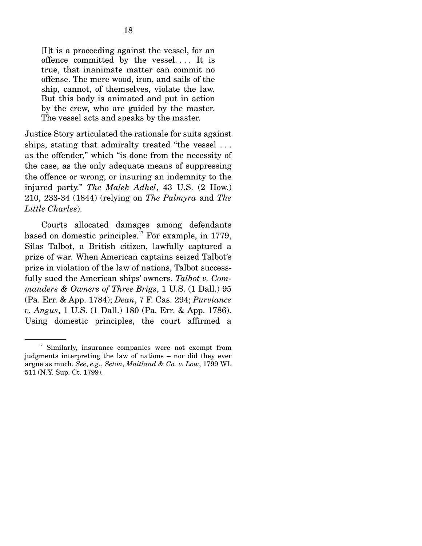[I]t is a proceeding against the vessel, for an offence committed by the vessel. . . . It is true, that inanimate matter can commit no offense. The mere wood, iron, and sails of the ship, cannot, of themselves, violate the law. But this body is animated and put in action by the crew, who are guided by the master. The vessel acts and speaks by the master.

Justice Story articulated the rationale for suits against ships, stating that admiralty treated "the vessel . . . as the offender," which "is done from the necessity of the case, as the only adequate means of suppressing the offence or wrong, or insuring an indemnity to the injured party." *The Malek Adhel*, 43 U.S. (2 How.) 210, 233-34 (1844) (relying on *The Palmyra* and *The Little Charles*).

 Courts allocated damages among defendants based on domestic principles.<sup>17</sup> For example, in 1779, Silas Talbot, a British citizen, lawfully captured a prize of war. When American captains seized Talbot's prize in violation of the law of nations, Talbot successfully sued the American ships' owners. *Talbot v. Commanders & Owners of Three Brigs*, 1 U.S. (1 Dall.) 95 (Pa. Err. & App. 1784); *Dean*, 7 F. Cas. 294; *Purviance v. Angus*, 1 U.S. (1 Dall.) 180 (Pa. Err. & App. 1786). Using domestic principles, the court affirmed a

<sup>&</sup>lt;sup>17</sup> Similarly, insurance companies were not exempt from judgments interpreting the law of nations – nor did they ever argue as much. *See*, *e.g.*, *Seton*, *Maitland & Co. v. Low*, 1799 WL 511 (N.Y. Sup. Ct. 1799).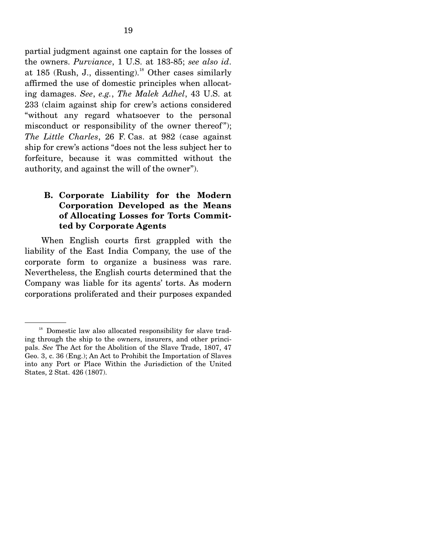partial judgment against one captain for the losses of the owners. *Purviance*, 1 U.S. at 183-85; *see also id*. at 185 (Rush, J., dissenting).<sup>18</sup> Other cases similarly affirmed the use of domestic principles when allocating damages. *See*, *e.g.*, *The Malek Adhel*, 43 U.S. at 233 (claim against ship for crew's actions considered "without any regard whatsoever to the personal misconduct or responsibility of the owner thereof"); *The Little Charles*, 26 F. Cas. at 982 (case against ship for crew's actions "does not the less subject her to forfeiture, because it was committed without the authority, and against the will of the owner").

### **B. Corporate Liability for the Modern Corporation Developed as the Means of Allocating Losses for Torts Committed by Corporate Agents**

 When English courts first grappled with the liability of the East India Company, the use of the corporate form to organize a business was rare. Nevertheless, the English courts determined that the Company was liable for its agents' torts. As modern corporations proliferated and their purposes expanded

<sup>&</sup>lt;sup>18</sup> Domestic law also allocated responsibility for slave trading through the ship to the owners, insurers, and other principals. *See* The Act for the Abolition of the Slave Trade, 1807, 47 Geo. 3, c. 36 (Eng.); An Act to Prohibit the Importation of Slaves into any Port or Place Within the Jurisdiction of the United States, 2 Stat. 426 (1807).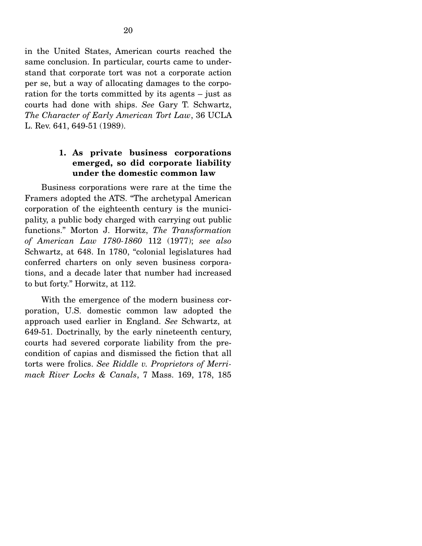in the United States, American courts reached the same conclusion. In particular, courts came to understand that corporate tort was not a corporate action per se, but a way of allocating damages to the corporation for the torts committed by its agents – just as courts had done with ships. *See* Gary T. Schwartz, *The Character of Early American Tort Law*, 36 UCLA L. Rev. 641, 649-51 (1989).

#### **1. As private business corporations emerged, so did corporate liability under the domestic common law**

 Business corporations were rare at the time the Framers adopted the ATS. "The archetypal American corporation of the eighteenth century is the municipality, a public body charged with carrying out public functions." Morton J. Horwitz, *The Transformation of American Law 1780-1860* 112 (1977); *see also*  Schwartz, at 648. In 1780, "colonial legislatures had conferred charters on only seven business corporations, and a decade later that number had increased to but forty." Horwitz, at 112.

 With the emergence of the modern business corporation, U.S. domestic common law adopted the approach used earlier in England. *See* Schwartz, at 649-51. Doctrinally, by the early nineteenth century, courts had severed corporate liability from the precondition of capias and dismissed the fiction that all torts were frolics. *See Riddle v. Proprietors of Merrimack River Locks & Canals*, 7 Mass. 169, 178, 185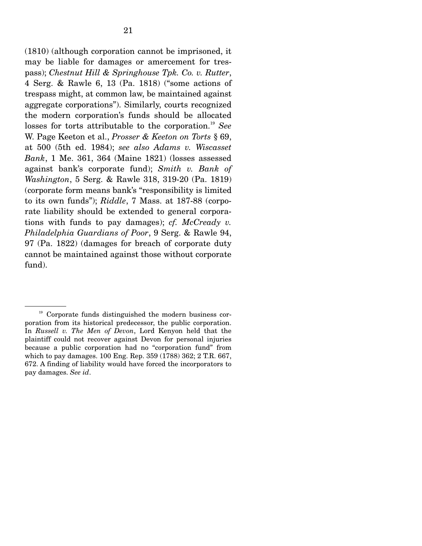(1810) (although corporation cannot be imprisoned, it may be liable for damages or amercement for trespass); *Chestnut Hill & Springhouse Tpk. Co. v. Rutter*, 4 Serg. & Rawle 6, 13 (Pa. 1818) ("some actions of trespass might, at common law, be maintained against aggregate corporations"). Similarly, courts recognized the modern corporation's funds should be allocated losses for torts attributable to the corporation.<sup>19</sup> See W. Page Keeton et al., *Prosser & Keeton on Torts* § 69, at 500 (5th ed. 1984); *see also Adams v. Wiscasset Bank*, 1 Me. 361, 364 (Maine 1821) (losses assessed against bank's corporate fund); *Smith v. Bank of Washington*, 5 Serg. & Rawle 318, 319-20 (Pa. 1819) (corporate form means bank's "responsibility is limited to its own funds"); *Riddle*, 7 Mass. at 187-88 (corporate liability should be extended to general corporations with funds to pay damages); *cf. McCready v. Philadelphia Guardians of Poor*, 9 Serg. & Rawle 94, 97 (Pa. 1822) (damages for breach of corporate duty cannot be maintained against those without corporate fund).

 $19$  Corporate funds distinguished the modern business corporation from its historical predecessor, the public corporation. In *Russell v. The Men of Devon*, Lord Kenyon held that the plaintiff could not recover against Devon for personal injuries because a public corporation had no "corporation fund" from which to pay damages. 100 Eng. Rep. 359 (1788) 362; 2 T.R. 667, 672. A finding of liability would have forced the incorporators to pay damages. *See id*.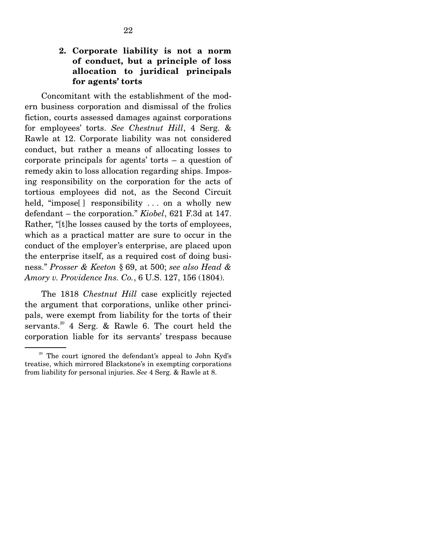### **2. Corporate liability is not a norm of conduct, but a principle of loss allocation to juridical principals for agents' torts**

 Concomitant with the establishment of the modern business corporation and dismissal of the frolics fiction, courts assessed damages against corporations for employees' torts. *See Chestnut Hill*, 4 Serg. & Rawle at 12. Corporate liability was not considered conduct, but rather a means of allocating losses to corporate principals for agents' torts – a question of remedy akin to loss allocation regarding ships. Imposing responsibility on the corporation for the acts of tortious employees did not, as the Second Circuit held, "impose<sup>[]</sup> responsibility ... on a wholly new defendant – the corporation." *Kiobel*, 621 F.3d at 147. Rather, "[t]he losses caused by the torts of employees, which as a practical matter are sure to occur in the conduct of the employer's enterprise, are placed upon the enterprise itself, as a required cost of doing business." *Prosser & Keeton* § 69, at 500; *see also Head & Amory v. Providence Ins. Co.*, 6 U.S. 127, 156 (1804).

 The 1818 *Chestnut Hill* case explicitly rejected the argument that corporations, unlike other principals, were exempt from liability for the torts of their servants.<sup>20</sup> 4 Serg. & Rawle 6. The court held the corporation liable for its servants' trespass because

<sup>&</sup>lt;sup>20</sup> The court ignored the defendant's appeal to John Kyd's treatise, which mirrored Blackstone's in exempting corporations from liability for personal injuries. *See* 4 Serg. & Rawle at 8.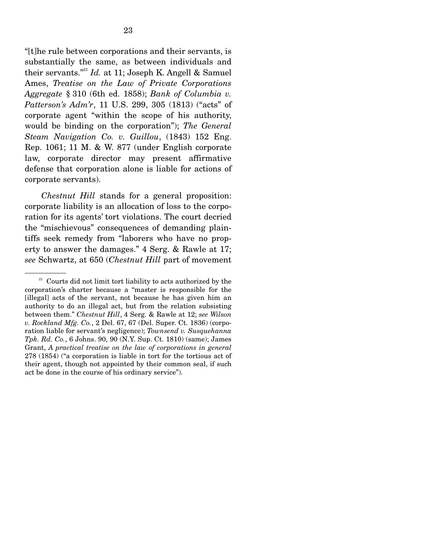"[t]he rule between corporations and their servants, is substantially the same, as between individuals and their servants."21 *Id.* at 11; Joseph K. Angell & Samuel Ames, *Treatise on the Law of Private Corporations Aggregate* § 310 (6th ed. 1858); *Bank of Columbia v. Patterson's Adm'r*, 11 U.S. 299, 305 (1813) ("acts" of corporate agent "within the scope of his authority, would be binding on the corporation"); *The General Steam Navigation Co. v. Guillou*, (1843) 152 Eng. Rep. 1061; 11 M. & W. 877 (under English corporate law, corporate director may present affirmative defense that corporation alone is liable for actions of corporate servants).

*Chestnut Hill* stands for a general proposition: corporate liability is an allocation of loss to the corporation for its agents' tort violations. The court decried the "mischievous" consequences of demanding plaintiffs seek remedy from "laborers who have no property to answer the damages." 4 Serg. & Rawle at 17; *see* Schwartz, at 650 (*Chestnut Hill* part of movement

 $21$  Courts did not limit tort liability to acts authorized by the corporation's charter because a "master is responsible for the [illegal] acts of the servant, not because he has given him an authority to do an illegal act, but from the relation subsisting between them." *Chestnut Hill*, 4 Serg. & Rawle at 12; *see Wilson v. Rockland Mfg. Co.*, 2 Del. 67, 67 (Del. Super. Ct. 1836) (corporation liable for servant's negligence); *Townsend v. Susquehanna Tpk. Rd. Co.*, 6 Johns. 90, 90 (N.Y. Sup. Ct. 1810) (same); James Grant, *A practical treatise on the law of corporations in general* 278 (1854) ("a corporation is liable in tort for the tortious act of their agent, though not appointed by their common seal, if such act be done in the course of his ordinary service").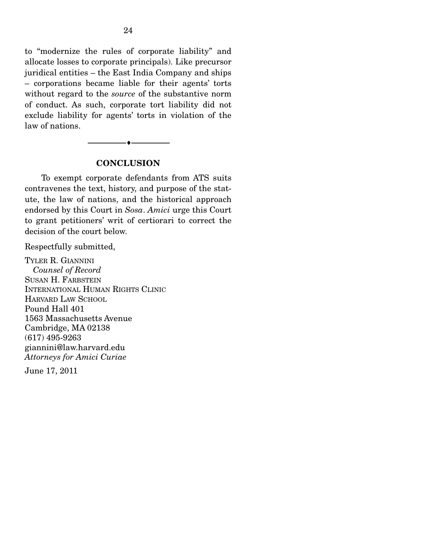to "modernize the rules of corporate liability" and allocate losses to corporate principals). Like precursor juridical entities – the East India Company and ships – corporations became liable for their agents' torts without regard to the *source* of the substantive norm of conduct. As such, corporate tort liability did not exclude liability for agents' torts in violation of the law of nations.

#### **CONCLUSION**

 $\overbrace{\hspace{2.5cm}}$   $\overbrace{\hspace{2.5cm}}$ 

 To exempt corporate defendants from ATS suits contravenes the text, history, and purpose of the statute, the law of nations, and the historical approach endorsed by this Court in *Sosa*. *Amici* urge this Court to grant petitioners' writ of certiorari to correct the decision of the court below.

Respectfully submitted,

TYLER R. GIANNINI *Counsel of Record*  SUSAN H. FARBSTEIN INTERNATIONAL HUMAN RIGHTS CLINIC HARVARD LAW SCHOOL Pound Hall 401 1563 Massachusetts Avenue Cambridge, MA 02138 (617) 495-9263 giannini@law.harvard.edu *Attorneys for Amici Curiae*

June 17, 2011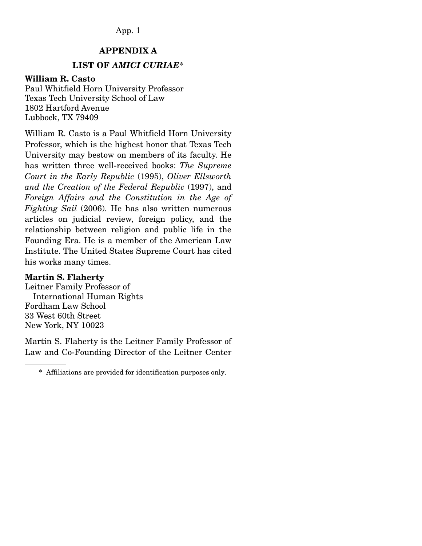#### App. 1

### **APPENDIX A**

## **LIST OF** *AMICI CURIAE*\*

#### **William R. Casto**

Paul Whitfield Horn University Professor Texas Tech University School of Law 1802 Hartford Avenue Lubbock, TX 79409

William R. Casto is a Paul Whitfield Horn University Professor, which is the highest honor that Texas Tech University may bestow on members of its faculty. He has written three well-received books: *The Supreme Court in the Early Republic* (1995), *Oliver Ellsworth and the Creation of the Federal Republic* (1997), and *Foreign Affairs and the Constitution in the Age of Fighting Sail* (2006). He has also written numerous articles on judicial review, foreign policy, and the relationship between religion and public life in the Founding Era. He is a member of the American Law Institute. The United States Supreme Court has cited his works many times.

#### **Martin S. Flaherty**

Leitner Family Professor of International Human Rights Fordham Law School 33 West 60th Street New York, NY 10023

Martin S. Flaherty is the Leitner Family Professor of Law and Co-Founding Director of the Leitner Center

 <sup>\*</sup> Affiliations are provided for identification purposes only.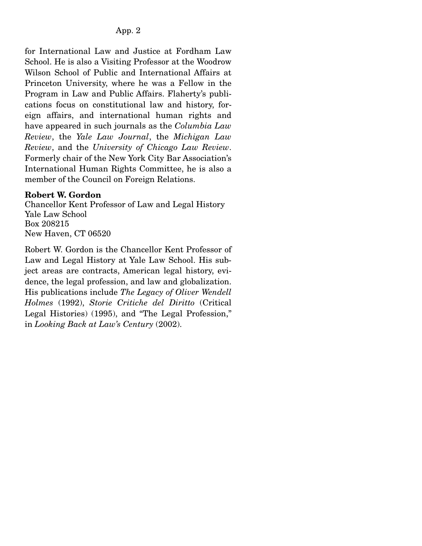### App. 2

for International Law and Justice at Fordham Law School. He is also a Visiting Professor at the Woodrow Wilson School of Public and International Affairs at Princeton University, where he was a Fellow in the Program in Law and Public Affairs. Flaherty's publications focus on constitutional law and history, foreign affairs, and international human rights and have appeared in such journals as the *Columbia Law Review*, the *Yale Law Journal*, the *Michigan Law Review*, and the *University of Chicago Law Review*. Formerly chair of the New York City Bar Association's International Human Rights Committee, he is also a member of the Council on Foreign Relations.

### **Robert W. Gordon**

Chancellor Kent Professor of Law and Legal History Yale Law School Box 208215 New Haven, CT 06520

Robert W. Gordon is the Chancellor Kent Professor of Law and Legal History at Yale Law School. His subject areas are contracts, American legal history, evidence, the legal profession, and law and globalization. His publications include *The Legacy of Oliver Wendell Holmes* (1992), *Storie Critiche del Diritto* (Critical Legal Histories) (1995), and "The Legal Profession," in *Looking Back at Law's Century* (2002).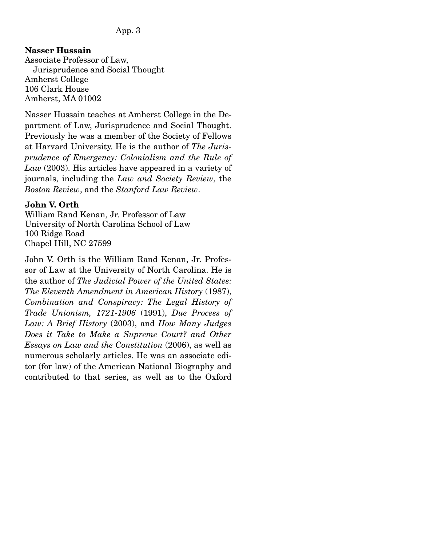#### App. 3

#### **Nasser Hussain**

Associate Professor of Law, Jurisprudence and Social Thought Amherst College 106 Clark House Amherst, MA 01002

Nasser Hussain teaches at Amherst College in the Department of Law, Jurisprudence and Social Thought. Previously he was a member of the Society of Fellows at Harvard University. He is the author of *The Jurisprudence of Emergency: Colonialism and the Rule of Law* (2003). His articles have appeared in a variety of journals, including the *Law and Society Review*, the *Boston Review*, and the *Stanford Law Review*.

#### **John V. Orth**

William Rand Kenan, Jr. Professor of Law University of North Carolina School of Law 100 Ridge Road Chapel Hill, NC 27599

John V. Orth is the William Rand Kenan, Jr. Professor of Law at the University of North Carolina. He is the author of *The Judicial Power of the United States: The Eleventh Amendment in American History* (1987), *Combination and Conspiracy: The Legal History of Trade Unionism, 1721-1906* (1991), *Due Process of Law: A Brief History* (2003), and *How Many Judges Does it Take to Make a Supreme Court? and Other Essays on Law and the Constitution* (2006), as well as numerous scholarly articles. He was an associate editor (for law) of the American National Biography and contributed to that series, as well as to the Oxford